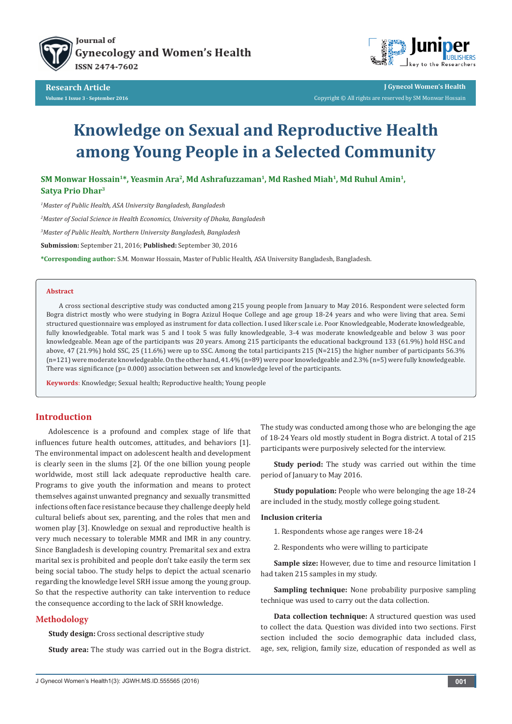

Journal of **Gynecology and Women's Health ISSN 2474-7602** 



**J Gynecol Women's Health** Copyright © All rights are reserved by SM Monwar Hossain

# **Knowledge on Sexual and Reproductive Health among Young People in a Selected Community**

SM Monwar Hossain<sup>1\*</sup>, Yeasmin Ara<sup>2</sup>, Md Ashrafuzzaman<sup>1</sup>, Md Rashed Miah<sup>1</sup>, Md Ruhul Amin<sup>1</sup>, **Satya Prio Dhar3**

*1 Master of Public Health, ASA University Bangladesh, Bangladesh*

*2 Master of Social Science in Health Economics, University of Dhaka, Bangladesh*

*3 Master of Public Health, Northern University Bangladesh, Bangladesh*

**Submission:** September 21, 2016; **Published:** September 30, 2016

**\*Corresponding author:** S.M. Monwar Hossain, Master of Public Health, ASA University Bangladesh, Bangladesh.

#### **Abstract**

A cross sectional descriptive study was conducted among 215 young people from January to May 2016. Respondent were selected form Bogra district mostly who were studying in Bogra Azizul Hoque College and age group 18-24 years and who were living that area. Semi structured questionnaire was employed as instrument for data collection. I used liker scale i.e. Poor Knowledgeable, Moderate knowledgeable, fully knowledgeable. Total mark was 5 and I took 5 was fully knowledgeable, 3-4 was moderate knowledgeable and below 3 was poor knowledgeable. Mean age of the participants was 20 years. Among 215 participants the educational background 133 (61.9%) hold HSC and above, 47 (21.9%) hold SSC, 25 (11.6%) were up to SSC. Among the total participants 215 (N=215) the higher number of participants 56.3% (n=121) were moderate knowledgeable. On the other hand, 41.4% (n=89) were poor knowledgeable and 2.3% (n=5) were fully knowledgeable. There was significance (p= 0.000) association between sex and knowledge level of the participants.

**Keywords**: Knowledge; Sexual health; Reproductive health; Young people

## **Introduction**

Adolescence is a profound and complex stage of life that influences future health outcomes, attitudes, and behaviors [1]. The environmental impact on adolescent health and development is clearly seen in the slums [2]. Of the one billion young people worldwide, most still lack adequate reproductive health care. Programs to give youth the information and means to protect themselves against unwanted pregnancy and sexually transmitted infections often face resistance because they challenge deeply held cultural beliefs about sex, parenting, and the roles that men and women play [3]. Knowledge on sexual and reproductive health is very much necessary to tolerable MMR and IMR in any country. Since Bangladesh is developing country. Premarital sex and extra marital sex is prohibited and people don't take easily the term sex being social taboo. The study helps to depict the actual scenario regarding the knowledge level SRH issue among the young group. So that the respective authority can take intervention to reduce the consequence according to the lack of SRH knowledge.

### **Methodology**

**Study design:** Cross sectional descriptive study

**Study area:** The study was carried out in the Bogra district.

The study was conducted among those who are belonging the age of 18-24 Years old mostly student in Bogra district. A total of 215 participants were purposively selected for the interview.

**Study period:** The study was carried out within the time period of January to May 2016.

**Study population:** People who were belonging the age 18-24 are included in the study, mostly college going student.

#### **Inclusion criteria**

- 1. Respondents whose age ranges were 18-24
- 2. Respondents who were willing to participate

**Sample size:** However, due to time and resource limitation I had taken 215 samples in my study.

**Sampling technique:** None probability purposive sampling technique was used to carry out the data collection.

**Data collection technique:** A structured question was used to collect the data. Question was divided into two sections. First section included the socio demographic data included class, age, sex, religion, family size, education of responded as well as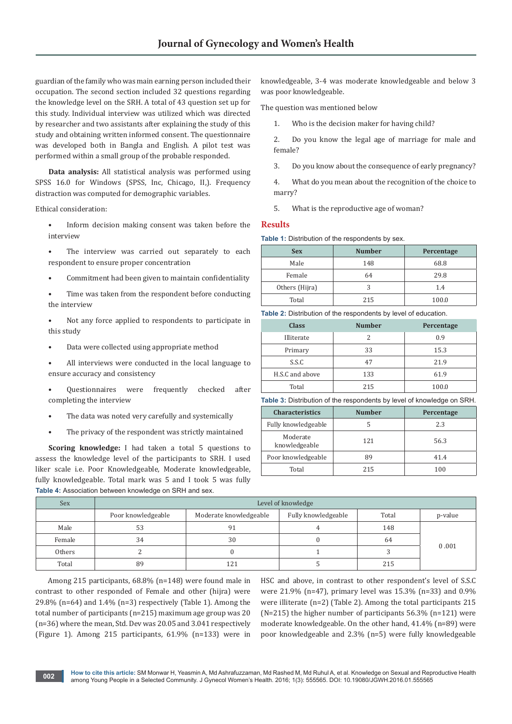guardian of the family who was main earning person included their occupation. The second section included 32 questions regarding the knowledge level on the SRH. A total of 43 question set up for this study. Individual interview was utilized which was directed by researcher and two assistants after explaining the study of this study and obtaining written informed consent. The questionnaire was developed both in Bangla and English. A pilot test was performed within a small group of the probable responded.

**Data analysis:** All statistical analysis was performed using SPSS 16.0 for Windows (SPSS, Inc, Chicago, II,). Frequency distraction was computed for demographic variables.

Ethical consideration:

- Inform decision making consent was taken before the interview
- The interview was carried out separately to each respondent to ensure proper concentration
- Commitment had been given to maintain confidentiality
- Time was taken from the respondent before conducting the interview
- Not any force applied to respondents to participate in this study
- Data were collected using appropriate method
- All interviews were conducted in the local language to ensure accuracy and consistency
- Questionnaires were frequently checked after completing the interview
- The data was noted very carefully and systemically
- The privacy of the respondent was strictly maintained

**Scoring knowledge:** I had taken a total 5 questions to assess the knowledge level of the participants to SRH. I used liker scale i.e. Poor Knowledgeable, Moderate knowledgeable, fully knowledgeable. Total mark was 5 and I took 5 was fully **Table 4:** Association between knowledge on SRH and sex.

knowledgeable, 3-4 was moderate knowledgeable and below 3 was poor knowledgeable.

The question was mentioned below

1. Who is the decision maker for having child?

2. Do you know the legal age of marriage for male and female?

3. Do you know about the consequence of early pregnancy?

4. What do you mean about the recognition of the choice to marry?

5. What is the reproductive age of woman?

#### **Results**

**Table 1:** Distribution of the respondents by sex.

| <b>Sex</b>     | <b>Number</b> | Percentage |
|----------------|---------------|------------|
| Male           | 148           | 68.8       |
| Female         | 64            | 29.8       |
| Others (Hijra) |               | 1.4        |
| Total          | 215           | 100.0      |

**Table 2:** Distribution of the respondents by level of education.

| <b>Class</b>    | <b>Number</b> | Percentage |
|-----------------|---------------|------------|
| Illiterate      |               | 0.9        |
| Primary         | 33            | 15.3       |
| S.S.C           | 47            | 21.9       |
| H.S.C and above | 133           | 61.9       |
| Total           | 215           | 100.0      |

**Table 3:** Distribution of the respondents by level of knowledge on SRH.

| <b>Characteristics</b>    | <b>Number</b> | Percentage |
|---------------------------|---------------|------------|
| Fully knowledgeable       |               | 2.3        |
| Moderate<br>knowledgeable | 121           | 56.3       |
| Poor knowledgeable        | 89            | 41.4       |
| Total                     | 215           | 100        |

| Sex    | Level of knowledge |                        |                     |       |         |  |
|--------|--------------------|------------------------|---------------------|-------|---------|--|
|        | Poor knowledgeable | Moderate knowledgeable | Fully knowledgeable | Total | p-value |  |
| Male   | 53                 |                        |                     | 148   |         |  |
| Female | 34                 | 30                     |                     | 64    |         |  |
| Others |                    |                        |                     |       | 0.001   |  |
| Total  | 89                 | 121                    |                     | 215   |         |  |

 Among 215 participants, 68.8% (n=148) were found male in contrast to other responded of Female and other (hijra) were 29.8% (n=64) and  $1.4\%$  (n=3) respectively (Table 1). Among the total number of participants (n=215) maximum age group was 20 (n=36) where the mean, Std. Dev was 20.05 and 3.041 respectively (Figure 1). Among 215 participants, 61.9% (n=133) were in

HSC and above, in contrast to other respondent's level of S.S.C were 21.9% (n=47), primary level was 15.3% (n=33) and 0.9% were illiterate (n=2) (Table 2). Among the total participants 215 (N=215) the higher number of participants 56.3% (n=121) were moderate knowledgeable. On the other hand, 41.4% (n=89) were poor knowledgeable and 2.3% (n=5) were fully knowledgeable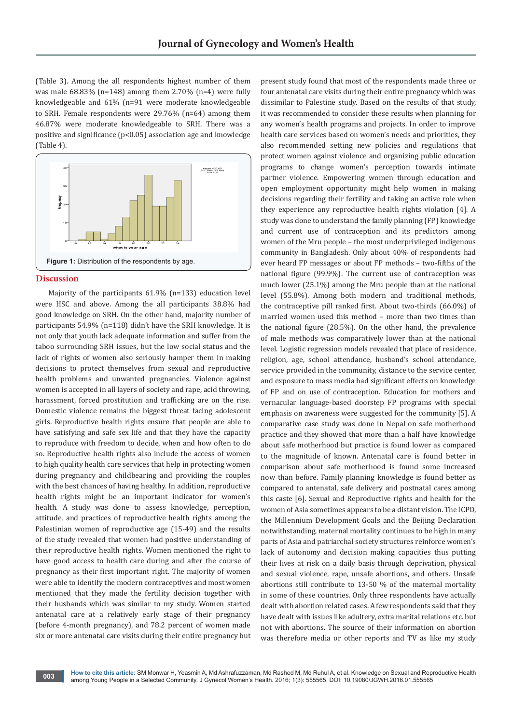(Table 3). Among the all respondents highest number of them was male  $68.83\%$  (n=148) among them 2.70% (n=4) were fully knowledgeable and 61% (n=91 were moderate knowledgeable to SRH. Female respondents were 29.76% (n=64) among them 46.87% were moderate knowledgeable to SRH. There was a positive and significance (p<0.05) association age and knowledge (Table 4).



#### **Discussion**

Majority of the participants 61.9% (n=133) education level were HSC and above. Among the all participants 38.8% had good knowledge on SRH. On the other hand, majority number of participants 54.9% (n=118) didn't have the SRH knowledge. It is not only that youth lack adequate information and suffer from the taboo surrounding SRH issues, but the low social status and the lack of rights of women also seriously hamper them in making decisions to protect themselves from sexual and reproductive health problems and unwanted pregnancies. Violence against women is accepted in all layers of society and rape, acid throwing, harassment, forced prostitution and trafficking are on the rise. Domestic violence remains the biggest threat facing adolescent girls. Reproductive health rights ensure that people are able to have satisfying and safe sex life and that they have the capacity to reproduce with freedom to decide, when and how often to do so. Reproductive health rights also include the access of women to high quality health care services that help in protecting women during pregnancy and childbearing and providing the couples with the best chances of having healthy. In addition, reproductive health rights might be an important indicator for women's health. A study was done to assess knowledge, perception, attitude, and practices of reproductive health rights among the Palestinian women of reproductive age (15-49) and the results of the study revealed that women had positive understanding of their reproductive health rights. Women mentioned the right to have good access to health care during and after the course of pregnancy as their first important right. The majority of women were able to identify the modern contraceptives and most women mentioned that they made the fertility decision together with their husbands which was similar to my study. Women started antenatal care at a relatively early stage of their pregnancy (before 4-month pregnancy), and 78.2 percent of women made six or more antenatal care visits during their entire pregnancy but present study found that most of the respondents made three or four antenatal care visits during their entire pregnancy which was dissimilar to Palestine study. Based on the results of that study, it was recommended to consider these results when planning for any women's health programs and projects. In order to improve health care services based on women's needs and priorities, they also recommended setting new policies and regulations that protect women against violence and organizing public education programs to change women's perception towards intimate partner violence. Empowering women through education and open employment opportunity might help women in making decisions regarding their fertility and taking an active role when they experience any reproductive health rights violation [4]. A study was done to understand the family planning (FP) knowledge and current use of contraception and its predictors among women of the Mru people – the most underprivileged indigenous community in Bangladesh. Only about 40% of respondents had ever heard FP messages or about FP methods – two-fifths of the national figure (99.9%). The current use of contraception was much lower (25.1%) among the Mru people than at the national level (55.8%). Among both modern and traditional methods, the contraceptive pill ranked first. About two-thirds (66.0%) of married women used this method – more than two times than the national figure (28.5%). On the other hand, the prevalence of male methods was comparatively lower than at the national level. Logistic regression models revealed that place of residence, religion, age, school attendance, husband's school attendance, service provided in the community, distance to the service center, and exposure to mass media had significant effects on knowledge of FP and on use of contraception. Education for mothers and vernacular language-based doorstep FP programs with special emphasis on awareness were suggested for the community [5]. A comparative case study was done in Nepal on safe motherhood practice and they showed that more than a half have knowledge about safe motherhood but practice is found lower as compared to the magnitude of known. Antenatal care is found better in comparison about safe motherhood is found some increased now than before. Family planning knowledge is found better as compared to antenatal, safe delivery and postnatal cares among this caste [6]. Sexual and Reproductive rights and health for the women of Asia sometimes appears to be a distant vision. The ICPD, the Millennium Development Goals and the Beijing Declaration notwithstanding, maternal mortality continues to be high in many parts of Asia and patriarchal society structures reinforce women's lack of autonomy and decision making capacities thus putting their lives at risk on a daily basis through deprivation, physical and sexual violence, rape, unsafe abortions, and others. Unsafe abortions still contribute to 13-50 % of the maternal mortality in some of these countries. Only three respondents have actually dealt with abortion related cases. A few respondents said that they have dealt with issues like adultery, extra marital relations etc. but not with abortions. The source of their information on abortion was therefore media or other reports and TV as like my study